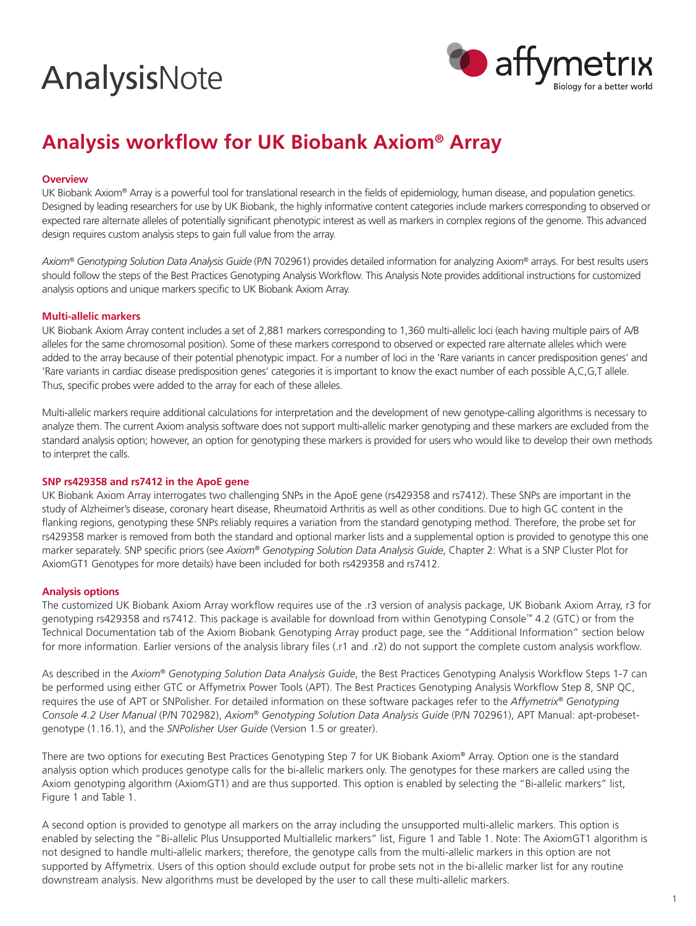# **AnalysisNote**



# **Analysis workflow for UK Biobank Axiom® Array**

### **Overview**

UK Biobank Axiom® Array is a powerful tool for translational research in the fields of epidemiology, human disease, and population genetics. Designed by leading researchers for use by UK Biobank, the highly informative content categories include markers corresponding to observed or expected rare alternate alleles of potentially significant phenotypic interest as well as markers in complex regions of the genome. This advanced design requires custom analysis steps to gain full value from the array.

*Axiom® Genotyping Solution Data Analysis Guide* (P/N 702961) provides detailed information for analyzing Axiom® arrays. For best results users should follow the steps of the Best Practices Genotyping Analysis Workflow. This Analysis Note provides additional instructions for customized analysis options and unique markers specific to UK Biobank Axiom Array.

#### **Multi-allelic markers**

UK Biobank Axiom Array content includes a set of 2,881 markers corresponding to 1,360 multi-allelic loci (each having multiple pairs of A/B alleles for the same chromosomal position). Some of these markers correspond to observed or expected rare alternate alleles which were added to the array because of their potential phenotypic impact. For a number of loci in the 'Rare variants in cancer predisposition genes' and 'Rare variants in cardiac disease predisposition genes' categories it is important to know the exact number of each possible A,C,G,T allele. Thus, specific probes were added to the array for each of these alleles.

Multi-allelic markers require additional calculations for interpretation and the development of new genotype-calling algorithms is necessary to analyze them. The current Axiom analysis software does not support multi-allelic marker genotyping and these markers are excluded from the standard analysis option; however, an option for genotyping these markers is provided for users who would like to develop their own methods to interpret the calls.

# **SNP rs429358 and rs7412 in the ApoE gene**

UK Biobank Axiom Array interrogates two challenging SNPs in the ApoE gene (rs429358 and rs7412). These SNPs are important in the study of Alzheimer's disease, coronary heart disease, Rheumatoid Arthritis as well as other conditions. Due to high GC content in the flanking regions, genotyping these SNPs reliably requires a variation from the standard genotyping method. Therefore, the probe set for rs429358 marker is removed from both the standard and optional marker lists and a supplemental option is provided to genotype this one marker separately. SNP specific priors (see *Axiom® Genotyping Solution Data Analysis Guide*, Chapter 2: What is a SNP Cluster Plot for AxiomGT1 Genotypes for more details) have been included for both rs429358 and rs7412.

# **Analysis options**

The customized UK Biobank Axiom Array workflow requires use of the .r3 version of analysis package, UK Biobank Axiom Array, r3 for genotyping rs429358 and rs7412. This package is available for download from within Genotyping Console™ 4.2 (GTC) or from the Technical Documentation tab of the Axiom Biobank Genotyping Array product page, see the "Additional Information" section below for more information. Earlier versions of the analysis library files (.r1 and .r2) do not support the complete custom analysis workflow.

As described in the *Axiom® Genotyping Solution Data Analysis Guide*, the Best Practices Genotyping Analysis Workflow Steps 1-7 can be performed using either GTC or Affymetrix Power Tools (APT). The Best Practices Genotyping Analysis Workflow Step 8, SNP QC, requires the use of APT or SNPolisher. For detailed information on these software packages refer to the *Affymetrix® Genotyping Console 4.2 User Manual* (P/N 702982), *Axiom® Genotyping Solution Data Analysis Guide* (P/N 702961), APT Manual: apt-probesetgenotype (1.16.1), and the *SNPolisher User Guide* (Version 1.5 or greater).

There are two options for executing Best Practices Genotyping Step 7 for UK Biobank Axiom® Array. Option one is the standard analysis option which produces genotype calls for the bi-allelic markers only. The genotypes for these markers are called using the Axiom genotyping algorithm (AxiomGT1) and are thus supported. This option is enabled by selecting the "Bi-allelic markers" list, Figure 1 and Table 1.

A second option is provided to genotype all markers on the array including the unsupported multi-allelic markers. This option is enabled by selecting the "Bi-allelic Plus Unsupported Multiallelic markers" list, Figure 1 and Table 1. Note: The AxiomGT1 algorithm is not designed to handle multi-allelic markers; therefore, the genotype calls from the multi-allelic markers in this option are not supported by Affymetrix. Users of this option should exclude output for probe sets not in the bi-allelic marker list for any routine downstream analysis. New algorithms must be developed by the user to call these multi-allelic markers.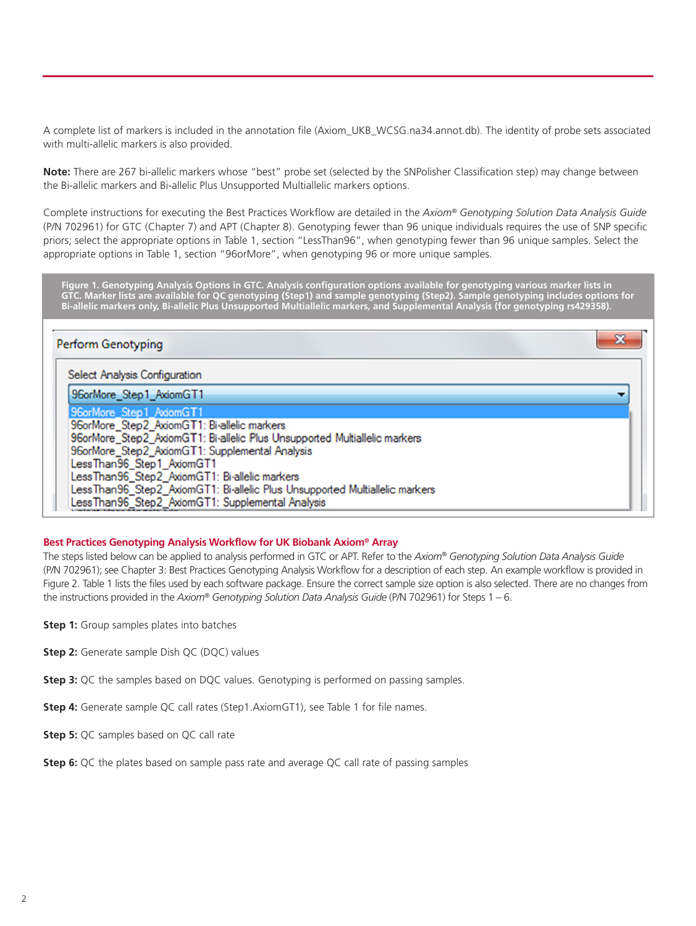A complete list of markers is included in the annotation file (Axiom\_UKB\_WCSG.na34.annot.db). The identity of probe sets associated with multi-allelic markers is also provided.

**Note:** There are 267 bi-allelic markers whose "best" probe set (selected by the SNPolisher Classification step) may change between the Bi-allelic markers and Bi-allelic Plus Unsupported Multiallelic markers options.

Complete instructions for executing the Best Practices Workflow are detailed in the *Axiom® Genotyping Solution Data Analysis Guide* (P/N 702961) for GTC (Chapter 7) and APT (Chapter 8). Genotyping fewer than 96 unique individuals requires the use of SNP specific priors; select the appropriate options in Table 1, section "LessThan96", when genotyping fewer than 96 unique samples. Select the appropriate options in Table 1, section "96orMore", when genotyping 96 or more unique samples.

**Figure 1. Genotyping Analysis Options in GTC. Analysis configuration options available for genotyping various marker lists in GTC. Marker lists are available for QC genotyping (Step1) and sample genotyping (Step2). Sample genotyping includes options for Bi-allelic markers only, Bi-allelic Plus Unsupported Multiallelic markers, and Supplemental Analysis (for genotyping rs429358).**

| <b>Perform Genotyping</b>                                                                                                                                                                                                                                                                                                                                                                                              |  |
|------------------------------------------------------------------------------------------------------------------------------------------------------------------------------------------------------------------------------------------------------------------------------------------------------------------------------------------------------------------------------------------------------------------------|--|
| <b>Select Analysis Configuration</b>                                                                                                                                                                                                                                                                                                                                                                                   |  |
| 96orMore_Step1_AxiomGT1                                                                                                                                                                                                                                                                                                                                                                                                |  |
| 96orMore Step1 AxiomGT1<br>96orMore_Step2_AxiomGT1: Bi-allelic markers<br>96orMore Step2 AxiomGT1: Bi-allelic Plus Unsupported Multiallelic markers<br>96orMore_Step2_AxiomGT1: Supplemental Analysis<br>LessThan96_Step1_AxiomGT1<br>LessThan96_Step2_AxiomGT1: Bi-allelic markers<br>LessThan96_Step2_AxiomGT1: Bi-allelic Plus Unsupported Multiallelic markers<br>LessThan96_Step2_AxiomGT1: Supplemental Analysis |  |

#### **Best Practices Genotyping Analysis Workflow for UK Biobank Axiom® Array**

The steps listed below can be applied to analysis performed in GTC or APT. Refer to the *Axiom® Genotyping Solution Data Analysis Guide* (P/N 702961); see Chapter 3: Best Practices Genotyping Analysis Workflow for a description of each step. An example workflow is provided in Figure 2. Table 1 lists the files used by each software package. Ensure the correct sample size option is also selected. There are no changes from the instructions provided in the *Axiom® Genotyping Solution Data Analysis Guide* (P/N 702961) for Steps 1 – 6.

- **Step 1:** Group samples plates into batches
- **Step 2:** Generate sample Dish QC (DQC) values
- **Step 3:** QC the samples based on DQC values. Genotyping is performed on passing samples.
- **Step 4:** Generate sample QC call rates (Step1.AxiomGT1), see Table 1 for file names.
- **Step 5:** QC samples based on QC call rate
- **Step 6:** QC the plates based on sample pass rate and average QC call rate of passing samples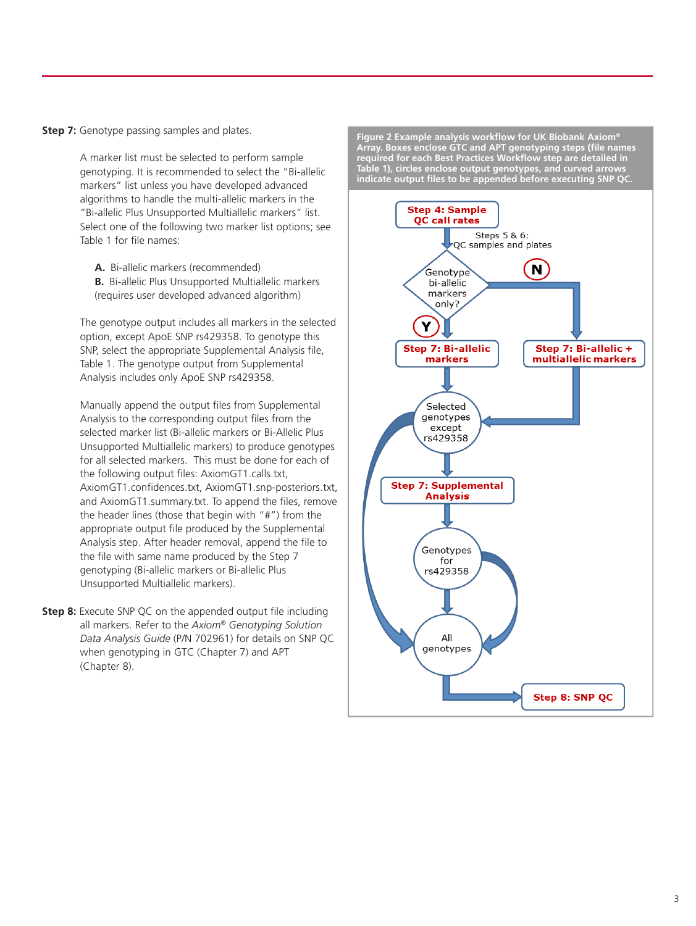**Step 7:** Genotype passing samples and plates.

A marker list must be selected to perform sample genotyping. It is recommended to select the "Bi-allelic markers" list unless you have developed advanced algorithms to handle the multi-allelic markers in the "Bi-allelic Plus Unsupported Multiallelic markers" list. Select one of the following two marker list options; see Table 1 for file names:

**A.** Bi-allelic markers (recommended) **B.** Bi-allelic Plus Unsupported Multiallelic markers (requires user developed advanced algorithm)

The genotype output includes all markers in the selected option, except ApoE SNP rs429358. To genotype this SNP, select the appropriate Supplemental Analysis file, Table 1. The genotype output from Supplemental Analysis includes only ApoE SNP rs429358.

Manually append the output files from Supplemental Analysis to the corresponding output files from the selected marker list (Bi-allelic markers or Bi-Allelic Plus Unsupported Multiallelic markers) to produce genotypes for all selected markers. This must be done for each of the following output files: AxiomGT1.calls.txt, AxiomGT1.confidences.txt, AxiomGT1.snp-posteriors.txt, and AxiomGT1.summary.txt. To append the files, remove the header lines (those that begin with "#") from the appropriate output file produced by the Supplemental Analysis step. After header removal, append the file to the file with same name produced by the Step 7 genotyping (Bi-allelic markers or Bi-allelic Plus Unsupported Multiallelic markers).

**Step 8:** Execute SNP QC on the appended output file including all markers. Refer to the *Axiom® Genotyping Solution Data Analysis Guide* (P/N 702961) for details on SNP QC when genotyping in GTC (Chapter 7) and APT (Chapter 8).

**Figure 2 Example analysis workflow for UK Biobank Axiom® Array. Boxes enclose GTC and APT genotyping steps (file names required for each Best Practices Workflow step are detailed in Table 1), circles enclose output genotypes, and curved arrows indicate output files to be appended before executing SNP QC.**